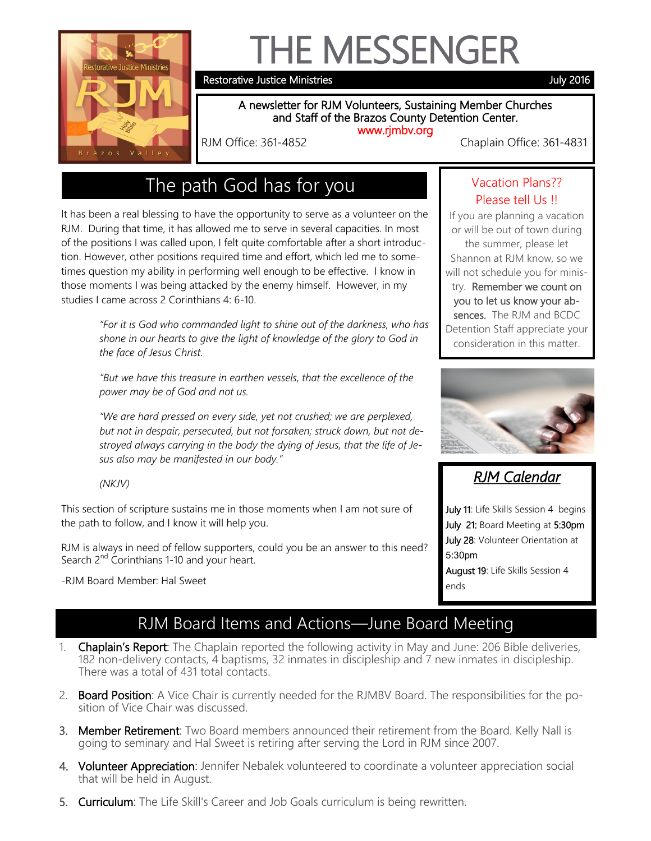

# THE MESSENGER

Restorative Justice Ministries **All and Struck and Struck 2016** July 2016

#### A newsletter for RJM Volunteers, Sustaining Member Churches and Staff of the Brazos County Detention Center. www.rjmbv.org

RJM Office: 361-4852 Chaplain Office: 361-4831

## The path God has for you

It has been a real blessing to have the opportunity to serve as a volunteer on the RJM. During that time, it has allowed me to serve in several capacities. In most of the positions I was called upon, I felt quite comfortable after a short introduction. However, other positions required time and effort, which led me to sometimes question my ability in performing well enough to be effective. I know in those moments I was being attacked by the enemy himself. However, in my studies I came across 2 Corinthians 4: 6-10.

> *"For it is God who commanded light to shine out of the darkness, who has shone in our hearts to give the light of knowledge of the glory to God in the face of Jesus Christ.*

*"But we have this treasure in earthen vessels, that the excellence of the power may be of God and not us.* 

*"We are hard pressed on every side, yet not crushed; we are perplexed, but not in despair, persecuted, but not forsaken; struck down, but not destroyed always carrying in the body the dying of Jesus, that the life of Jesus also may be manifested in our body."*

#### *(NKJV)*

This section of scripture sustains me in those moments when I am not sure of the path to follow, and I know it will help you.

RJM is always in need of fellow supporters, could you be an answer to this need? Search 2<sup>nd</sup> Corinthians 1-10 and your heart.

-RJM Board Member: Hal Sweet

#### Vacation Plans?? Please tell Us !!

If you are planning a vacation or will be out of town during the summer, please let Shannon at RJM know, so we will not schedule you for ministry. Remember we count on you to let us know your absences. The RJM and BCDC Detention Staff appreciate your consideration in this matter.



## *RJM Calendar*

July 11: Life Skills Session 4 begins July 21: Board Meeting at 5:30pm July 28: Volunteer Orientation at 5:30pm August 19: Life Skills Session 4 ends

#### RJM Board Items and Actions—June Board Meeting

- 1. Chaplain's Report: The Chaplain reported the following activity in May and June: 206 Bible deliveries, 182 non-delivery contacts, 4 baptisms, 32 inmates in discipleship and 7 new inmates in discipleship. There was a total of 431 total contacts.
- 2. Board Position: A Vice Chair is currently needed for the RJMBV Board. The responsibilities for the position of Vice Chair was discussed.
- 3. Member Retirement: Two Board members announced their retirement from the Board. Kelly Nall is going to seminary and Hal Sweet is retiring after serving the Lord in RJM since 2007.
- 4. Volunteer Appreciation: Jennifer Nebalek volunteered to coordinate a volunteer appreciation social that will be held in August.
- 5. Curriculum: The Life Skill's Career and Job Goals curriculum is being rewritten.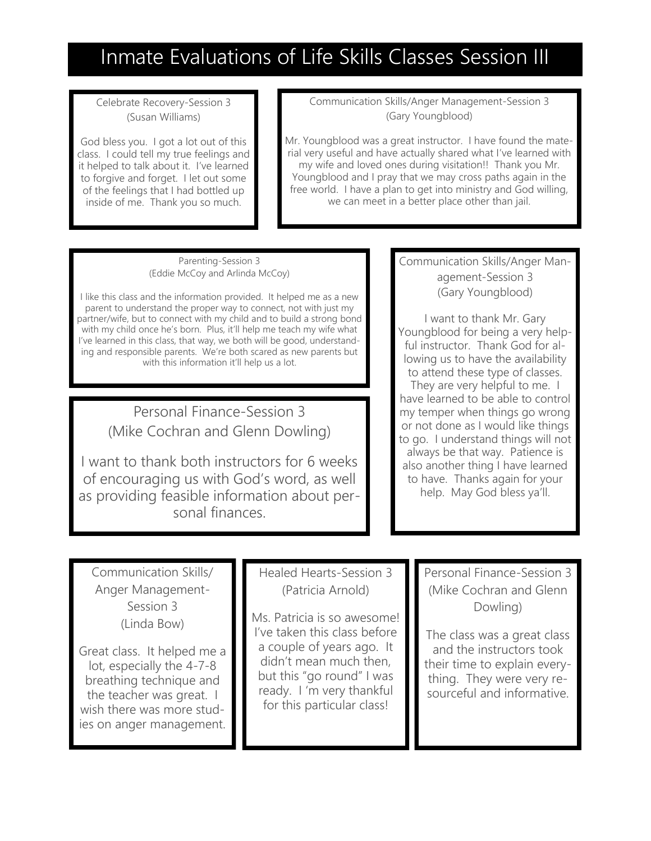# Inmate Evaluations of Life Skills Classes Session III

Celebrate Recovery-Session 3 (Susan Williams)

God bless you. I got a lot out of this class. I could tell my true feelings and it helped to talk about it. I've learned to forgive and forget. I let out some of the feelings that I had bottled up inside of me. Thank you so much.

Communication Skills/Anger Management-Session 3 (Gary Youngblood)

Mr. Youngblood was a great instructor. I have found the material very useful and have actually shared what I've learned with my wife and loved ones during visitation!! Thank you Mr. Youngblood and I pray that we may cross paths again in the free world. I have a plan to get into ministry and God willing, we can meet in a better place other than jail.

Parenting-Session 3 (Eddie McCoy and Arlinda McCoy)

I like this class and the information provided. It helped me as a new parent to understand the proper way to connect, not with just my partner/wife, but to connect with my child and to build a strong bond with my child once he's born. Plus, it'll help me teach my wife what I've learned in this class, that way, we both will be good, understanding and responsible parents. We're both scared as new parents but with this information it'll help us a lot.

> Personal Finance-Session 3 (Mike Cochran and Glenn Dowling)

I want to thank both instructors for 6 weeks of encouraging us with God's word, as well as providing feasible information about personal finances.

Communication Skills/Anger Management-Session 3 (Gary Youngblood)

I want to thank Mr. Gary Youngblood for being a very helpful instructor. Thank God for allowing us to have the availability to attend these type of classes. They are very helpful to me. I have learned to be able to control my temper when things go wrong or not done as I would like things to go. I understand things will not always be that way. Patience is also another thing I have learned to have. Thanks again for your help. May God bless ya'll.

Communication Skills/ Anger Management-Session 3 (Linda Bow)

Great class. It helped me a lot, especially the 4-7-8 breathing technique and the teacher was great. I wish there was more studies on anger management.

Healed Hearts-Session 3 (Patricia Arnold)

Ms. Patricia is so awesome! I've taken this class before a couple of years ago. It didn't mean much then, but this "go round" I was ready. I 'm very thankful for this particular class!

Personal Finance-Session 3 (Mike Cochran and Glenn Dowling)

The class was a great class and the instructors took their time to explain everything. They were very resourceful and informative.